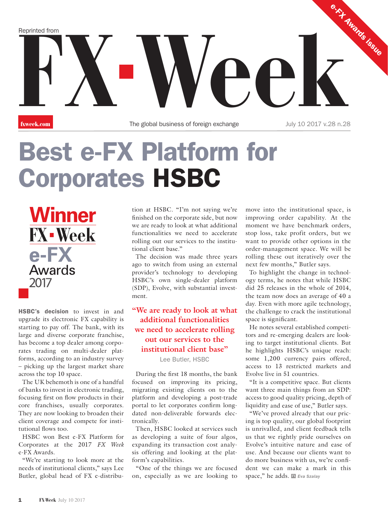Reprinted from<br>**FX Week.com**<br>FX The global business of foreign exchange<br>July 10 2017 v.28 n.28 e-FX Awards issue Reprinted from

**fxweek.com** The global business of foreign exchange July 10 2017 v.28 n.28

## Best e-FX Platform for Corporates HSBC

**Winner FX-Week** e-FX **Awards** 2017

HSBC's decision to invest in and upgrade its electronic FX capability is starting to pay off. The bank, with its large and diverse corporate franchise, has become a top dealer among corporates trading on multi-dealer platforms, according to an industry survey – picking up the largest market share across the top 10 space.

The UK behemoth is one of a handful of banks to invest in electronic trading, focusing first on flow products in their core franchises, usually corporates. They are now looking to broaden their client coverage and compete for institutional flows too.

HSBC won Best e-FX Platform for Corporates at the 2017 *FX Week* e-FX Awards.

"We're starting to look more at the needs of institutional clients," says Lee Butler, global head of FX e-distribution at HSBC. "I'm not saying we're finished on the corporate side, but now we are ready to look at what additional functionalities we need to accelerate rolling out our services to the institutional client base."

The decision was made three years ago to switch from using an external provider's technology to developing HSBC's own single-dealer platform (SDP), Evolve, with substantial investment.

## **"We are ready to look at what additional functionalities we need to accelerate rolling out our services to the institutional client base"** Lee Butler, HSBC

During the first 18 months, the bank focused on improving its pricing, migrating existing clients on to the platform and developing a post-trade portal to let corporates confirm longdated non-deliverable forwards electronically.

Then, HSBC looked at services such as developing a suite of four algos, expanding its transaction cost analysis offering and looking at the platform's capabilities.

"One of the things we are focused on, especially as we are looking to move into the institutional space, is improving order capability. At the moment we have benchmark orders, stop loss, take profit orders, but we want to provide other options in the order-management space. We will be rolling these out iteratively over the next few months," Butler says.

To highlight the change in technology terms, he notes that while HSBC did 25 releases in the whole of 2014, the team now does an average of 40 a day. Even with more agile technology, the challenge to crack the institutional space is significant.

He notes several established competitors and re-emerging dealers are looking to target institutional clients. But he highlights HSBC's unique reach: some 1,200 currency pairs offered, access to 13 restricted markets and Evolve live in 51 countries.

"It is a competitive space. But clients want three main things from an SDP: access to good quality pricing, depth of liquidity and ease of use," Butler says.

"We've proved already that our pricing is top quality, our global footprint is unrivalled, and client feedback tells us that we rightly pride ourselves on Evolve's intuitive nature and ease of use. And because our clients want to do more business with us, we're confident we can make a mark in this space," he adds. **EVA SZALAY**